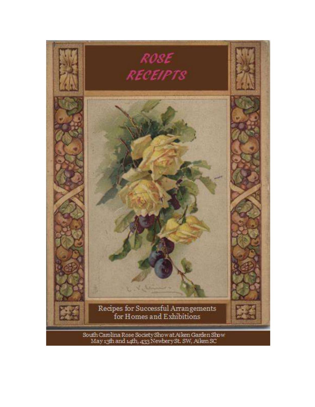

South Carolina Rose Society Show at Aiken Garden Show<br>May 13th and 14th, 433 Newbery St. SW, Aiken SC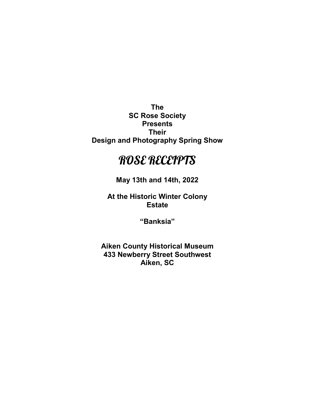The SC Rose Society Presents Their Design and Photography Spring Show

# ROSE RECEIPTS

May 13th and 14th, 2022

At the Historic Winter Colony **Estate** 

"Banksia"

Aiken County Historical Museum 433 Newberry Street Southwest Aiken, SC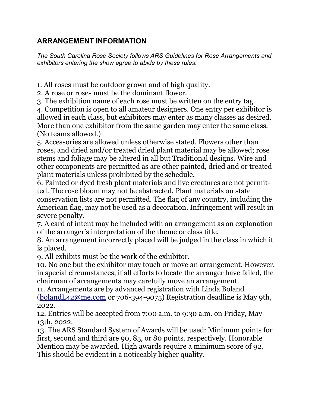# ARRANGEMENT INFORMATION

The South Carolina Rose Society follows ARS Guidelines for Rose Arrangements and exhibitors entering the show agree to abide by these rules:

1. All roses must be outdoor grown and of high quality.

2. A rose or roses must be the dominant flower.

3. The exhibition name of each rose must be written on the entry tag.

4. Competition is open to all amateur designers. One entry per exhibitor is allowed in each class, but exhibitors may enter as many classes as desired. More than one exhibitor from the same garden may enter the same class. (No teams allowed.)

5. Accessories are allowed unless otherwise stated. Flowers other than roses, and dried and/or treated dried plant material may be allowed; rose stems and foliage may be altered in all but Traditional designs. Wire and other components are permitted as are other painted, dried and or treated plant materials unless prohibited by the schedule.

6. Painted or dyed fresh plant materials and live creatures are not permitted. The rose bloom may not be abstracted. Plant materials on state conservation lists are not permitted. The flag of any country, including the American flag, may not be used as a decoration. Infringement will result in severe penalty.

7. A card of intent may be included with an arrangement as an explanation of the arranger's interpretation of the theme or class title.

8. An arrangement incorrectly placed will be judged in the class in which it is placed.

9. All exhibits must be the work of the exhibitor.

10. No one but the exhibitor may touch or move an arrangement. However, in special circumstances, if all efforts to locate the arranger have failed, the chairman of arrangements may carefully move an arrangement.

11. Arrangements are by advanced registration with Linda Boland (bolandL42@me.com or 706-394-9075) Registration deadline is May 9th, 2022.

12. Entries will be accepted from 7:00 a.m. to 9:30 a.m. on Friday, May 13th, 2022.

13. The ARS Standard System of Awards will be used: Minimum points for first, second and third are 90, 85, or 80 points, respectively. Honorable Mention may be awarded. High awards require a minimum score of 92. This should be evident in a noticeably higher quality.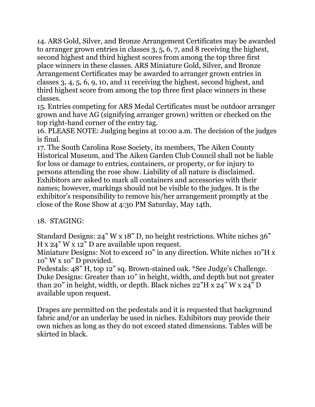14. ARS Gold, Silver, and Bronze Arrangement Certificates may be awarded to arranger grown entries in classes 3, 5, 6, 7, and 8 receiving the highest, second highest and third highest scores from among the top three first place winners in these classes. ARS Miniature Gold, Silver, and Bronze Arrangement Certificates may be awarded to arranger grown entries in classes 3, 4, 5, 6, 9, 10, and 11 receiving the highest, second highest, and third highest score from among the top three first place winners in these classes.

15. Entries competing for ARS Medal Certificates must be outdoor arranger grown and have AG (signifying arranger grown) written or checked on the top right-hand corner of the entry tag.

16. PLEASE NOTE: Judging begins at 10:00 a.m. The decision of the judges is final.

17. The South Carolina Rose Society, its members, The Aiken County Historical Museum, and The Aiken Garden Club Council shall not be liable for loss or damage to entries, containers, or property, or for injury to persons attending the rose show. Liability of all nature is disclaimed. Exhibitors are asked to mark all containers and accessories with their names; however, markings should not be visible to the judges. It is the exhibitor's responsibility to remove his/her arrangement promptly at the close of the Rose Show at 4:30 PM Saturday, May 14th.

# 18. STAGING:

Standard Designs: 24" W x 18" D, no height restrictions. White niches 36" H x 24" W x 12" D are available upon request.

Miniature Designs: Not to exceed 10" in any direction. White niches 10"H x 10" W x 10" D provided.

Pedestals: 48" H, top 12" sq. Brown-stained oak. \*See Judge's Challenge. Duke Designs: Greater than 10" in height, width, and depth but not greater than 20" in height, width, or depth. Black niches 22"H x 24" W x 24" D available upon request.

Drapes are permitted on the pedestals and it is requested that background fabric and/or an underlay be used in niches. Exhibitors may provide their own niches as long as they do not exceed stated dimensions. Tables will be skirted in black.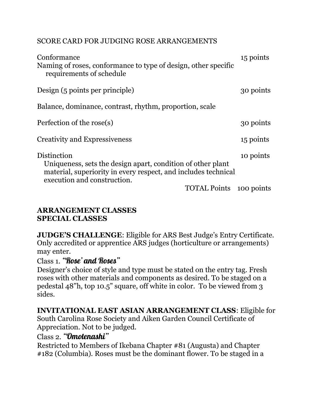### SCORE CARD FOR JUDGING ROSE ARRANGEMENTS

| Conformance<br>Naming of roses, conformance to type of design, other specific<br>requirements of schedule                                                                   | 15 points |
|-----------------------------------------------------------------------------------------------------------------------------------------------------------------------------|-----------|
| Design (5 points per principle)                                                                                                                                             | 30 points |
| Balance, dominance, contrast, rhythm, proportion, scale                                                                                                                     |           |
| Perfection of the rose(s)                                                                                                                                                   | 30 points |
| <b>Creativity and Expressiveness</b>                                                                                                                                        | 15 points |
| Distinction<br>Uniqueness, sets the design apart, condition of other plant<br>material, superiority in every respect, and includes technical<br>execution and construction. | 10 points |
| <b>TOTAL Points</b> 100 points                                                                                                                                              |           |

### ARRANGEMENT CLASSES SPECIAL CLASSES

JUDGE'S CHALLENGE: Eligible for ARS Best Judge's Entry Certificate. Only accredited or apprentice ARS judges (horticulture or arrangements) may enter.

### Class 1. "Rose' and Roses"

Designer's choice of style and type must be stated on the entry tag. Fresh roses with other materials and components as desired. To be staged on a pedestal 48"h, top 10.5" square, off white in color. To be viewed from 3 sides.

#### INVITATIONAL EAST ASIAN ARRANGEMENT CLASS: Eligible for

South Carolina Rose Society and Aiken Garden Council Certificate of Appreciation. Not to be judged.

### Class 2. "Omotenashi"

Restricted to Members of Ikebana Chapter #81 (Augusta) and Chapter #182 (Columbia). Roses must be the dominant flower. To be staged in a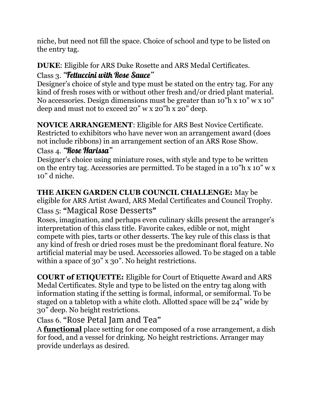niche, but need not fill the space. Choice of school and type to be listed on the entry tag.

#### DUKE: Eligible for ARS Duke Rosette and ARS Medal Certificates. Class 3. "Fettuccini with Rose Sauce"

Designer's choice of style and type must be stated on the entry tag. For any kind of fresh roses with or without other fresh and/or dried plant material. No accessories. Design dimensions must be greater than 10"h x 10" w x 10" deep and must not to exceed 20" w x 20"h x 20" deep.

NOVICE ARRANGEMENT: Eligible for ARS Best Novice Certificate. Restricted to exhibitors who have never won an arrangement award (does not include ribbons) in an arrangement section of an ARS Rose Show. Class 4. "Rose Harissa"

Designer's choice using miniature roses, with style and type to be written on the entry tag. Accessories are permitted. To be staged in a 10"h x 10" w x 10" d niche.

THE AIKEN GARDEN CLUB COUNCIL CHALLENGE: May be eligible for ARS Artist Award, ARS Medal Certificates and Council Trophy.

# Class 5: "Magical Rose Desserts"

Roses, imagination, and perhaps even culinary skills present the arranger's interpretation of this class title. Favorite cakes, edible or not, might compete with pies, tarts or other desserts. The key rule of this class is that any kind of fresh or dried roses must be the predominant floral feature. No artificial material may be used. Accessories allowed. To be staged on a table within a space of 30" x 30". No height restrictions.

COURT of ETIQUETTE: Eligible for Court of Etiquette Award and ARS Medal Certificates. Style and type to be listed on the entry tag along with information stating if the setting is formal, informal, or semiformal. To be staged on a tabletop with a white cloth. Allotted space will be 24" wide by 30" deep. No height restrictions.

Class 6. "Rose Petal Jam and Tea"

A **functional** place setting for one composed of a rose arrangement, a dish for food, and a vessel for drinking. No height restrictions. Arranger may provide underlays as desired.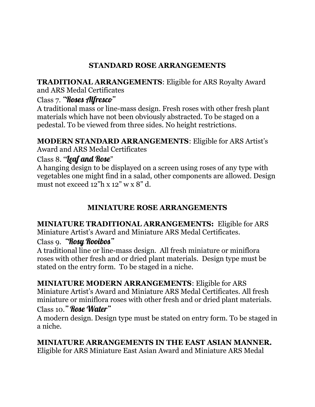# STANDARD ROSE ARRANGEMENTS

TRADITIONAL ARRANGEMENTS: Eligible for ARS Royalty Award and ARS Medal Certificates

# Class 7. "Roses Alfresco"

A traditional mass or line-mass design. Fresh roses with other fresh plant materials which have not been obviously abstracted. To be staged on a pedestal. To be viewed from three sides. No height restrictions.

### MODERN STANDARD ARRANGEMENTS: Eligible for ARS Artist's

Award and ARS Medal Certificates

### Class 8. "*leaf and Rose*"

A hanging design to be displayed on a screen using roses of any type with vegetables one might find in a salad, other components are allowed. Design must not exceed 12"h x 12" w x 8" d.

# MINIATURE ROSE ARRANGEMENTS

# MINIATURE TRADITIONAL ARRANGEMENTS: Eligible for ARS Miniature Artist's Award and Miniature ARS Medal Certificates.

### Class 9. "Rosy Rooibos"

A traditional line or line-mass design. All fresh miniature or miniflora roses with other fresh and or dried plant materials. Design type must be stated on the entry form. To be staged in a niche.

MINIATURE MODERN ARRANGEMENTS: Eligible for ARS Miniature Artist's Award and Miniature ARS Medal Certificates. All fresh miniature or miniflora roses with other fresh and or dried plant materials. Class 10." Rose Water"

A modern design. Design type must be stated on entry form. To be staged in a niche.

MINIATURE ARRANGEMENTS IN THE EAST ASIAN MANNER.

Eligible for ARS Miniature East Asian Award and Miniature ARS Medal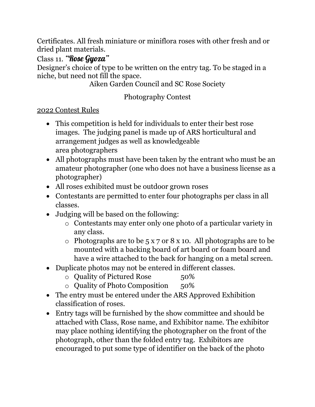Certificates. All fresh miniature or miniflora roses with other fresh and or dried plant materials.

Class 11. "Rose Gyoza"

Designer's choice of type to be written on the entry tag. To be staged in a niche, but need not fill the space.

Aiken Garden Council and SC Rose Society

# Photography Contest

### 2022 Contest Rules

- This competition is held for individuals to enter their best rose images. The judging panel is made up of ARS horticultural and arrangement judges as well as knowledgeable area photographers
- All photographs must have been taken by the entrant who must be an amateur photographer (one who does not have a business license as a photographer)
- All roses exhibited must be outdoor grown roses
- Contestants are permitted to enter four photographs per class in all classes.
- Judging will be based on the following:
	- o Contestants may enter only one photo of a particular variety in any class.
	- $\circ$  Photographs are to be 5 x 7 or 8 x 10. All photographs are to be mounted with a backing board of art board or foam board and have a wire attached to the back for hanging on a metal screen.
- Duplicate photos may not be entered in different classes.
	- o Quality of Pictured Rose 50%
	- o Quality of Photo Composition 50%
- The entry must be entered under the ARS Approved Exhibition classification of roses.
- Entry tags will be furnished by the show committee and should be attached with Class, Rose name, and Exhibitor name. The exhibitor may place nothing identifying the photographer on the front of the photograph, other than the folded entry tag. Exhibitors are encouraged to put some type of identifier on the back of the photo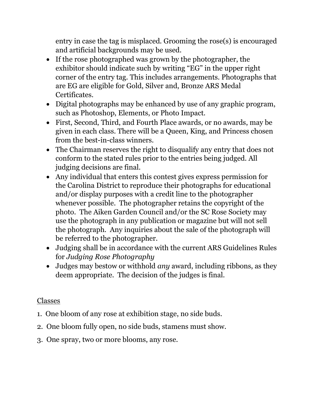entry in case the tag is misplaced. Grooming the rose(s) is encouraged and artificial backgrounds may be used.

- If the rose photographed was grown by the photographer, the exhibitor should indicate such by writing "EG" in the upper right corner of the entry tag. This includes arrangements. Photographs that are EG are eligible for Gold, Silver and, Bronze ARS Medal Certificates.
- Digital photographs may be enhanced by use of any graphic program, such as Photoshop, Elements, or Photo Impact.
- First, Second, Third, and Fourth Place awards, or no awards, may be given in each class. There will be a Queen, King, and Princess chosen from the best-in-class winners.
- The Chairman reserves the right to disqualify any entry that does not conform to the stated rules prior to the entries being judged. All judging decisions are final.
- Any individual that enters this contest gives express permission for the Carolina District to reproduce their photographs for educational and/or display purposes with a credit line to the photographer whenever possible. The photographer retains the copyright of the photo. The Aiken Garden Council and/or the SC Rose Society may use the photograph in any publication or magazine but will not sell the photograph. Any inquiries about the sale of the photograph will be referred to the photographer.
- Judging shall be in accordance with the current ARS Guidelines Rules for Judging Rose Photography
- Judges may bestow or withhold *any* award, including ribbons, as they deem appropriate. The decision of the judges is final.

### Classes

- 1. One bloom of any rose at exhibition stage, no side buds.
- 2. One bloom fully open, no side buds, stamens must show.
- 3. One spray, two or more blooms, any rose.